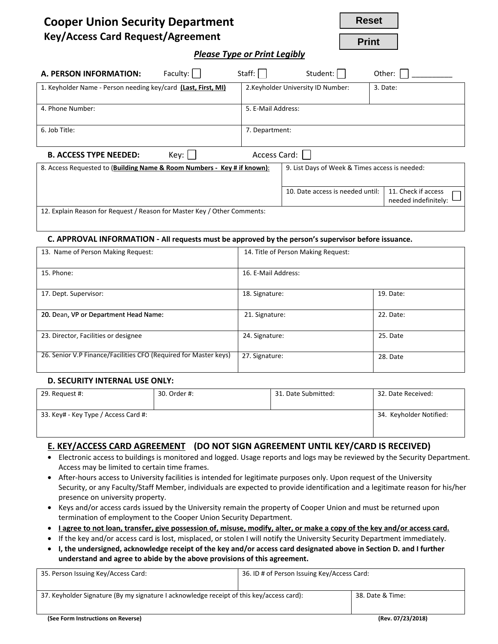|  | <b>Cooper Union Security Department</b>   |
|--|-------------------------------------------|
|  | $\mathbf{R}$ is the state of $\mathbf{R}$ |

**Reset**

**Print**

# **Key/Access Card Request/Agreement**

*Please Type or Print Legibly*

| Faculty:<br>A. PERSON INFORMATION:                                       | Staff:             | Student:                                       | Other:                                      |  |
|--------------------------------------------------------------------------|--------------------|------------------------------------------------|---------------------------------------------|--|
| 1. Keyholder Name - Person needing key/card (Last, First, MI)            |                    | 2. Keyholder University ID Number:             | 3. Date:                                    |  |
| 4. Phone Number:                                                         | 5. E-Mail Address: |                                                |                                             |  |
| 6. Job Title:                                                            | 7. Department:     |                                                |                                             |  |
| Access Card:<br><b>B. ACCESS TYPE NEEDED:</b><br>Key:                    |                    |                                                |                                             |  |
| 8. Access Requested to (Building Name & Room Numbers - Key # if known):  |                    | 9. List Days of Week & Times access is needed: |                                             |  |
|                                                                          |                    | 10. Date access is needed until:               | 11. Check if access<br>needed indefinitely: |  |
| 12. Explain Reason for Request / Reason for Master Key / Other Comments: |                    |                                                |                                             |  |

#### **C. APPROVAL INFORMATION - All requests must be approved by the person's supervisor before issuance.**

| 13. Name of Person Making Request:                               | 14. Title of Person Making Request: |           |
|------------------------------------------------------------------|-------------------------------------|-----------|
| 15. Phone:                                                       | 16. E-Mail Address:                 |           |
| 17. Dept. Supervisor:                                            | 18. Signature:                      | 19. Date: |
| 20. Dean, VP or Department Head Name:                            | 21. Signature:                      | 22. Date: |
| 23. Director, Facilities or designee                             | 24. Signature:                      | 25. Date  |
| 26. Senior V.P Finance/Facilities CFO (Required for Master keys) | 27. Signature:                      | 28. Date  |

### **D. SECURITY INTERNAL USE ONLY:**

| 29. Request #:                       | 30. Order #: | 31. Date Submitted: | 32. Date Received:      |
|--------------------------------------|--------------|---------------------|-------------------------|
| 33. Key# - Key Type / Access Card #: |              |                     | 34. Keyholder Notified: |

### **E. KEY/ACCESS CARD AGREEMENT (DO NOT SIGN AGREEMENT UNTIL KEY/CARD IS RECEIVED)**

- Electronic access to buildings is monitored and logged. Usage reports and logs may be reviewed by the Security Department. Access may be limited to certain time frames.
- After-hours access to University facilities is intended for legitimate purposes only. Upon request of the University Security, or any Faculty/Staff Member, individuals are expected to provide identification and a legitimate reason for his/her presence on university property.
- Keys and/or access cards issued by the University remain the property of Cooper Union and must be returned upon termination of employment to the Cooper Union Security Department.
- **I agree to not loan, transfer, give possession of, misuse, modify, alter, or make a copy of the key and/or access card.**
- If the key and/or access card is lost, misplaced, or stolen I will notify the University Security Department immediately.
- **I, the undersigned, acknowledge receipt of the key and/or access card designated above in Section D. and I further understand and agree to abide by the above provisions of this agreement.**

| 35. Person Issuing Key/Access Card:                                                      | 36. ID # of Person Issuing Key/Access Card: |                   |
|------------------------------------------------------------------------------------------|---------------------------------------------|-------------------|
|                                                                                          |                                             |                   |
| 37. Keyholder Signature (By my signature I acknowledge receipt of this key/access card): |                                             | 38. Date & Time:  |
|                                                                                          |                                             |                   |
| (See Form Instructions on Reverse)                                                       |                                             | (Rev. 07/23/2018) |